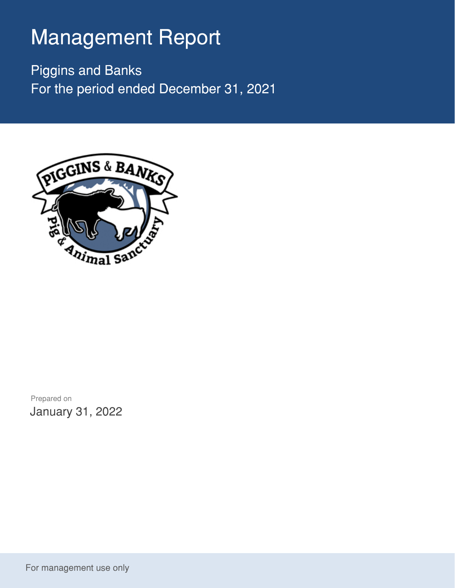## Management Report

Piggins and Banks For the period ended December 31, 2021



Prepared on January 31, 2022

For management use only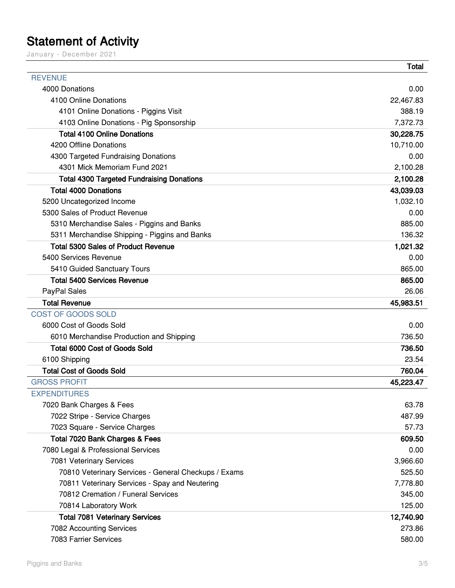## Statement of Activity

January - December 2021

|                                                      | <b>Total</b> |
|------------------------------------------------------|--------------|
| <b>REVENUE</b>                                       |              |
| 4000 Donations                                       | 0.00         |
| 4100 Online Donations                                | 22,467.83    |
| 4101 Online Donations - Piggins Visit                | 388.19       |
| 4103 Online Donations - Pig Sponsorship              | 7,372.73     |
| <b>Total 4100 Online Donations</b>                   | 30,228.75    |
| 4200 Offline Donations                               | 10,710.00    |
| 4300 Targeted Fundraising Donations                  | 0.00         |
| 4301 Mick Memoriam Fund 2021                         | 2,100.28     |
| <b>Total 4300 Targeted Fundraising Donations</b>     | 2,100.28     |
| <b>Total 4000 Donations</b>                          | 43,039.03    |
| 5200 Uncategorized Income                            | 1,032.10     |
| 5300 Sales of Product Revenue                        | 0.00         |
| 5310 Merchandise Sales - Piggins and Banks           | 885.00       |
| 5311 Merchandise Shipping - Piggins and Banks        | 136.32       |
| <b>Total 5300 Sales of Product Revenue</b>           | 1,021.32     |
| 5400 Services Revenue                                | 0.00         |
| 5410 Guided Sanctuary Tours                          | 865.00       |
| <b>Total 5400 Services Revenue</b>                   | 865.00       |
| PayPal Sales                                         | 26.06        |
| <b>Total Revenue</b>                                 | 45,983.51    |
| COST OF GOODS SOLD                                   |              |
| 6000 Cost of Goods Sold                              | 0.00         |
| 6010 Merchandise Production and Shipping             | 736.50       |
| <b>Total 6000 Cost of Goods Sold</b>                 | 736.50       |
| 6100 Shipping                                        | 23.54        |
| <b>Total Cost of Goods Sold</b>                      | 760.04       |
| <b>GROSS PROFIT</b>                                  | 45,223.47    |
| <b>EXPENDITURES</b>                                  |              |
| 7020 Bank Charges & Fees                             | 63.78        |
| 7022 Stripe - Service Charges                        | 487.99       |
| 7023 Square - Service Charges                        | 57.73        |
| Total 7020 Bank Charges & Fees                       | 609.50       |
| 7080 Legal & Professional Services                   | 0.00         |
| 7081 Veterinary Services                             | 3,966.60     |
| 70810 Veterinary Services - General Checkups / Exams | 525.50       |
| 70811 Veterinary Services - Spay and Neutering       | 7,778.80     |
| 70812 Cremation / Funeral Services                   | 345.00       |
| 70814 Laboratory Work                                | 125.00       |
| <b>Total 7081 Veterinary Services</b>                | 12,740.90    |
| 7082 Accounting Services                             | 273.86       |
| 7083 Farrier Services                                | 580.00       |